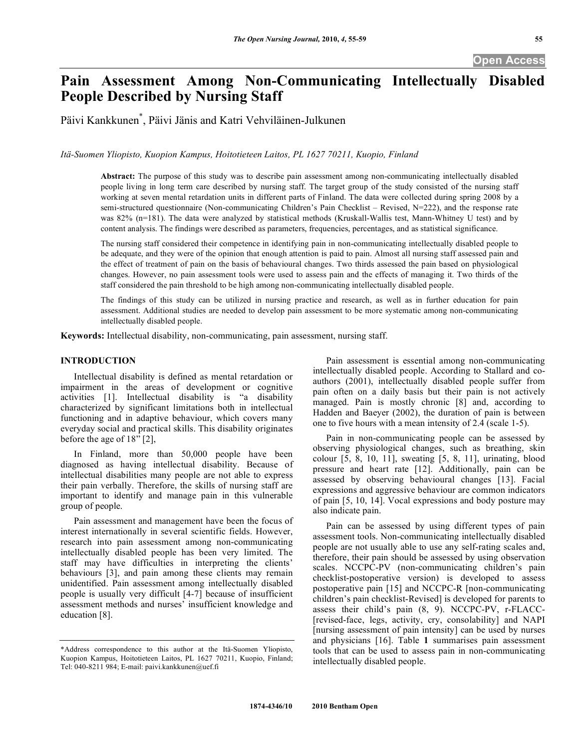## **Open Access**

# **Pain Assessment Among Non-Communicating Intellectually Disabled People Described by Nursing Staff**

Päivi Kankkunen\* , Päivi Jänis and Katri Vehviläinen-Julkunen

*Itä-Suomen Yliopisto, Kuopion Kampus, Hoitotieteen Laitos, PL 1627 70211, Kuopio, Finland* 

**Abstract:** The purpose of this study was to describe pain assessment among non-communicating intellectually disabled people living in long term care described by nursing staff. The target group of the study consisted of the nursing staff working at seven mental retardation units in different parts of Finland. The data were collected during spring 2008 by a semi-structured questionnaire (Non-communicating Children's Pain Checklist – Revised, N=222), and the response rate was 82% (n=181). The data were analyzed by statistical methods (Kruskall-Wallis test, Mann-Whitney U test) and by content analysis. The findings were described as parameters, frequencies, percentages, and as statistical significance.

The nursing staff considered their competence in identifying pain in non-communicating intellectually disabled people to be adequate, and they were of the opinion that enough attention is paid to pain. Almost all nursing staff assessed pain and the effect of treatment of pain on the basis of behavioural changes. Two thirds assessed the pain based on physiological changes. However, no pain assessment tools were used to assess pain and the effects of managing it. Two thirds of the staff considered the pain threshold to be high among non-communicating intellectually disabled people.

The findings of this study can be utilized in nursing practice and research, as well as in further education for pain assessment. Additional studies are needed to develop pain assessment to be more systematic among non-communicating intellectually disabled people.

**Keywords:** Intellectual disability, non-communicating, pain assessment, nursing staff.

## **INTRODUCTION**

 Intellectual disability is defined as mental retardation or impairment in the areas of development or cognitive activities [1]. Intellectual disability is "a disability characterized by significant limitations both in intellectual functioning and in adaptive behaviour, which covers many everyday social and practical skills. This disability originates before the age of 18" [2],

 In Finland, more than 50,000 people have been diagnosed as having intellectual disability. Because of intellectual disabilities many people are not able to express their pain verbally. Therefore, the skills of nursing staff are important to identify and manage pain in this vulnerable group of people.

 Pain assessment and management have been the focus of interest internationally in several scientific fields. However, research into pain assessment among non-communicating intellectually disabled people has been very limited. The staff may have difficulties in interpreting the clients' behaviours [3], and pain among these clients may remain unidentified. Pain assessment among intellectually disabled people is usually very difficult [4-7] because of insufficient assessment methods and nurses' insufficient knowledge and education [8].

 Pain assessment is essential among non-communicating intellectually disabled people. According to Stallard and coauthors (2001), intellectually disabled people suffer from pain often on a daily basis but their pain is not actively managed. Pain is mostly chronic [8] and, according to Hadden and Baeyer (2002), the duration of pain is between one to five hours with a mean intensity of 2.4 (scale 1-5).

 Pain in non-communicating people can be assessed by observing physiological changes, such as breathing, skin colour [5, 8, 10, 11], sweating [5, 8, 11], urinating, blood pressure and heart rate [12]. Additionally, pain can be assessed by observing behavioural changes [13]. Facial expressions and aggressive behaviour are common indicators of pain [5, 10, 14]. Vocal expressions and body posture may also indicate pain.

 Pain can be assessed by using different types of pain assessment tools. Non-communicating intellectually disabled people are not usually able to use any self-rating scales and, therefore, their pain should be assessed by using observation scales. NCCPC-PV (non-communicating children's pain checklist-postoperative version) is developed to assess postoperative pain [15] and NCCPC-R [non-communicating children's pain checklist-Revised] is developed for parents to assess their child's pain (8, 9). NCCPC-PV, r-FLACC- [revised-face, legs, activity, cry, consolability] and NAPI [nursing assessment of pain intensity] can be used by nurses and physicians [16]. Table **1** summarises pain assessment tools that can be used to assess pain in non-communicating intellectually disabled people.

<sup>\*</sup>Address correspondence to this author at the Itä-Suomen Yliopisto, Kuopion Kampus, Hoitotieteen Laitos, PL 1627 70211, Kuopio, Finland; Tel: 040-8211 984; E-mail: paivi.kankkunen@uef.fi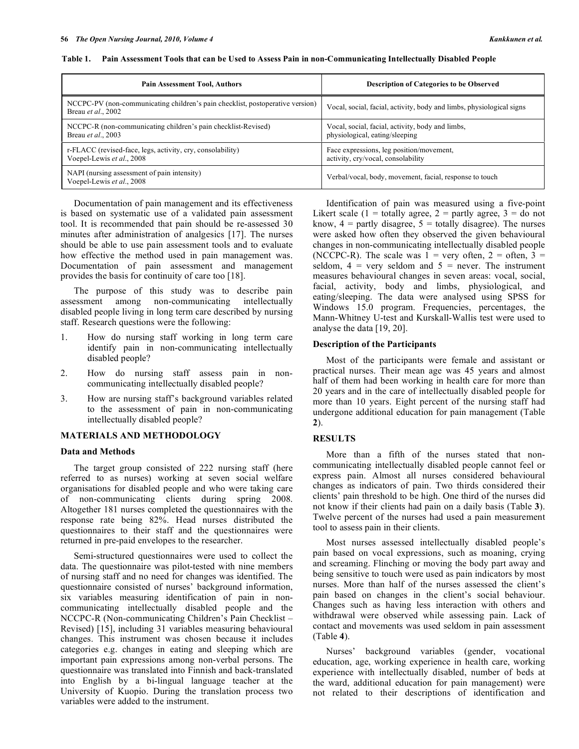| <b>Pain Assessment Tool, Authors</b>                                                                | <b>Description of Categories to be Observed</b>                                    |  |  |  |
|-----------------------------------------------------------------------------------------------------|------------------------------------------------------------------------------------|--|--|--|
| NCCPC-PV (non-communicating children's pain checklist, postoperative version)<br>Breau et al., 2002 | Vocal, social, facial, activity, body and limbs, physiological signs               |  |  |  |
| NCCPC-R (non-communicating children's pain checklist-Revised)<br>Breau et al., 2003                 | Vocal, social, facial, activity, body and limbs,<br>physiological, eating/sleeping |  |  |  |
| r-FLACC (revised-face, legs, activity, cry, consolability)<br>Voepel-Lewis et al., 2008             | Face expressions, leg position/movement,<br>activity, cry/vocal, consolability     |  |  |  |
| NAPI (nursing assessment of pain intensity)<br>Voepel-Lewis et al., 2008                            | Verbal/vocal, body, movement, facial, response to touch                            |  |  |  |

**Table 1. Pain Assessment Tools that can be Used to Assess Pain in non-Communicating Intellectually Disabled People** 

 Documentation of pain management and its effectiveness is based on systematic use of a validated pain assessment tool. It is recommended that pain should be re-assessed 30 minutes after administration of analgesics [17]. The nurses should be able to use pain assessment tools and to evaluate how effective the method used in pain management was. Documentation of pain assessment and management provides the basis for continuity of care too [18].

 The purpose of this study was to describe pain assessment among non-communicating intellectually disabled people living in long term care described by nursing staff. Research questions were the following:

- 1. How do nursing staff working in long term care identify pain in non-communicating intellectually disabled people?
- 2. How do nursing staff assess pain in noncommunicating intellectually disabled people?
- 3. How are nursing staff's background variables related to the assessment of pain in non-communicating intellectually disabled people?

## **MATERIALS AND METHODOLOGY**

## **Data and Methods**

 The target group consisted of 222 nursing staff (here referred to as nurses) working at seven social welfare organisations for disabled people and who were taking care of non-communicating clients during spring 2008. Altogether 181 nurses completed the questionnaires with the response rate being 82%. Head nurses distributed the questionnaires to their staff and the questionnaires were returned in pre-paid envelopes to the researcher.

 Semi-structured questionnaires were used to collect the data. The questionnaire was pilot-tested with nine members of nursing staff and no need for changes was identified. The questionnaire consisted of nurses' background information, six variables measuring identification of pain in noncommunicating intellectually disabled people and the NCCPC-R (Non-communicating Children's Pain Checklist – Revised) [15], including 31 variables measuring behavioural changes. This instrument was chosen because it includes categories e.g. changes in eating and sleeping which are important pain expressions among non-verbal persons. The questionnaire was translated into Finnish and back-translated into English by a bi-lingual language teacher at the University of Kuopio. During the translation process two variables were added to the instrument.

 Identification of pain was measured using a five-point Likert scale (1 = totally agree, 2 = partly agree, 3 =  $d\overline{o}$  not know,  $4$  = partly disagree,  $5$  = totally disagree). The nurses were asked how often they observed the given behavioural changes in non-communicating intellectually disabled people (NCCPC-R). The scale was  $1 =$  very often,  $2 =$  often,  $3 =$ seldom,  $4 = \text{very seldom and } 5 = \text{never.}$  The instrument measures behavioural changes in seven areas: vocal, social, facial, activity, body and limbs, physiological, and eating/sleeping. The data were analysed using SPSS for Windows 15.0 program. Frequencies, percentages, the Mann-Whitney U-test and Kurskall-Wallis test were used to analyse the data [19, 20].

## **Description of the Participants**

 Most of the participants were female and assistant or practical nurses. Their mean age was 45 years and almost half of them had been working in health care for more than 20 years and in the care of intellectually disabled people for more than 10 years. Eight percent of the nursing staff had undergone additional education for pain management (Table **2**).

## **RESULTS**

 More than a fifth of the nurses stated that noncommunicating intellectually disabled people cannot feel or express pain. Almost all nurses considered behavioural changes as indicators of pain. Two thirds considered their clients' pain threshold to be high. One third of the nurses did not know if their clients had pain on a daily basis (Table **3**). Twelve percent of the nurses had used a pain measurement tool to assess pain in their clients.

 Most nurses assessed intellectually disabled people's pain based on vocal expressions, such as moaning, crying and screaming. Flinching or moving the body part away and being sensitive to touch were used as pain indicators by most nurses. More than half of the nurses assessed the client's pain based on changes in the client's social behaviour. Changes such as having less interaction with others and withdrawal were observed while assessing pain. Lack of contact and movements was used seldom in pain assessment (Table **4**).

 Nurses' background variables (gender, vocational education, age, working experience in health care, working experience with intellectually disabled, number of beds at the ward, additional education for pain management) were not related to their descriptions of identification and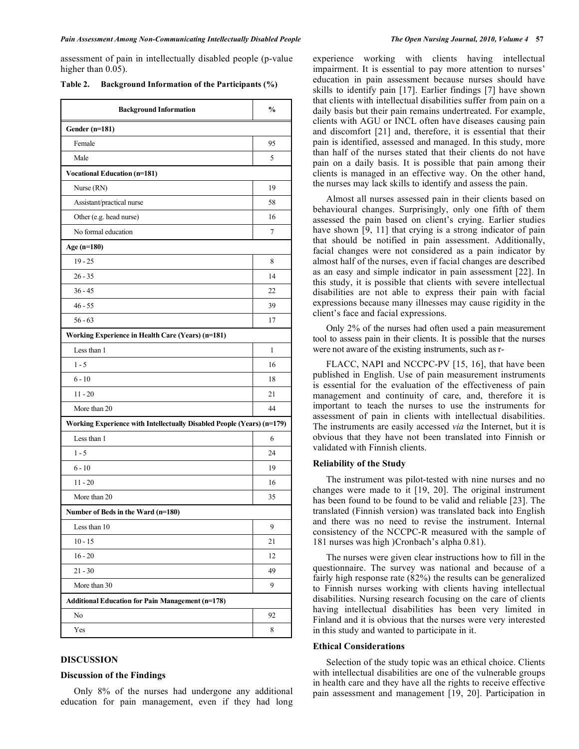assessment of pain in intellectually disabled people (p-value higher than  $0.05$ ).

| Table 2. | <b>Background Information of the Participants (%)</b> |  |
|----------|-------------------------------------------------------|--|
|          |                                                       |  |

| <b>Background Information</b>                                          | $\%$ |
|------------------------------------------------------------------------|------|
| Gender (n=181)                                                         |      |
| Female                                                                 | 95   |
| Male                                                                   | 5    |
| <b>Vocational Education (n=181)</b>                                    |      |
| Nurse (RN)                                                             | 19   |
| Assistant/practical nurse                                              | 58   |
| Other (e.g. head nurse)                                                | 16   |
| No formal education                                                    | 7    |
| Age (n=180)                                                            |      |
| $19 - 25$                                                              | 8    |
| $26 - 35$                                                              | 14   |
| $36 - 45$                                                              | 22   |
| $46 - 55$                                                              | 39   |
| $56 - 63$                                                              | 17   |
| Working Experience in Health Care (Years) (n=181)                      |      |
| Less than 1                                                            | 1    |
| $1 - 5$                                                                | 16   |
| $6 - 10$                                                               | 18   |
| $11 - 20$                                                              | 21   |
| More than 20                                                           | 44   |
| Working Experience with Intellectually Disabled People (Years) (n=179) |      |
| Less than 1                                                            | 6    |
| $1 - 5$                                                                | 24   |
| $6 - 10$                                                               | 19   |
| $11 - 20$                                                              | 16   |
| More than 20                                                           | 35   |
| Number of Beds in the Ward (n=180)                                     |      |
| Less than 10                                                           | 9    |
| $10 - 15$                                                              | 21   |
| $16 - 20$                                                              | 12   |
| $21 - 30$                                                              | 49   |
| More than 30                                                           | 9    |
| <b>Additional Education for Pain Management (n=178)</b>                |      |
| No                                                                     | 92   |
| Yes                                                                    | 8    |
|                                                                        |      |

## **DISCUSSION**

## **Discussion of the Findings**

 Only 8% of the nurses had undergone any additional education for pain management, even if they had long experience working with clients having intellectual impairment. It is essential to pay more attention to nurses' education in pain assessment because nurses should have skills to identify pain [17]. Earlier findings [7] have shown that clients with intellectual disabilities suffer from pain on a daily basis but their pain remains undertreated. For example, clients with AGU or INCL often have diseases causing pain and discomfort [21] and, therefore, it is essential that their pain is identified, assessed and managed. In this study, more than half of the nurses stated that their clients do not have pain on a daily basis. It is possible that pain among their clients is managed in an effective way. On the other hand, the nurses may lack skills to identify and assess the pain.

 Almost all nurses assessed pain in their clients based on behavioural changes. Surprisingly, only one fifth of them assessed the pain based on client's crying. Earlier studies have shown [9, 11] that crying is a strong indicator of pain that should be notified in pain assessment. Additionally, facial changes were not considered as a pain indicator by almost half of the nurses, even if facial changes are described as an easy and simple indicator in pain assessment [22]. In this study, it is possible that clients with severe intellectual disabilities are not able to express their pain with facial expressions because many illnesses may cause rigidity in the client's face and facial expressions.

 Only 2% of the nurses had often used a pain measurement tool to assess pain in their clients. It is possible that the nurses were not aware of the existing instruments, such as r-

 FLACC, NAPI and NCCPC-PV [15, 16], that have been published in English. Use of pain measurement instruments is essential for the evaluation of the effectiveness of pain management and continuity of care, and, therefore it is important to teach the nurses to use the instruments for assessment of pain in clients with intellectual disabilities. The instruments are easily accessed *via* the Internet, but it is obvious that they have not been translated into Finnish or validated with Finnish clients.

#### **Reliability of the Study**

 The instrument was pilot-tested with nine nurses and no changes were made to it [19, 20]. The original instrument has been found to be found to be valid and reliable [23]. The translated (Finnish version) was translated back into English and there was no need to revise the instrument. Internal consistency of the NCCPC-R measured with the sample of 181 nurses was high )Cronbach's alpha 0.81).

 The nurses were given clear instructions how to fill in the questionnaire. The survey was national and because of a fairly high response rate (82%) the results can be generalized to Finnish nurses working with clients having intellectual disabilities. Nursing research focusing on the care of clients having intellectual disabilities has been very limited in Finland and it is obvious that the nurses were very interested in this study and wanted to participate in it.

## **Ethical Considerations**

 Selection of the study topic was an ethical choice. Clients with intellectual disabilities are one of the vulnerable groups in health care and they have all the rights to receive effective pain assessment and management [19, 20]. Participation in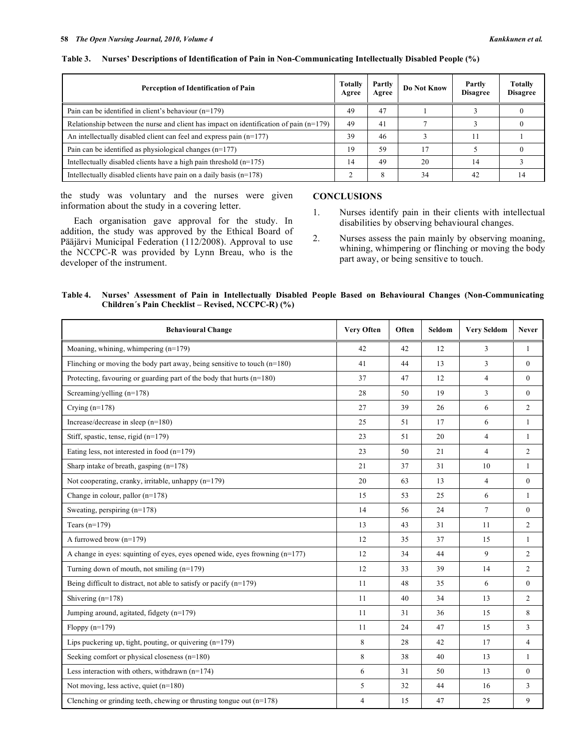| <b>Totally</b><br>Perception of Identification of Pain                                   |    | Partly<br>Agree | Do Not Know | Partly<br><b>Disagree</b> | <b>Totally</b><br><b>Disagree</b> |
|------------------------------------------------------------------------------------------|----|-----------------|-------------|---------------------------|-----------------------------------|
| Pain can be identified in client's behaviour $(n=179)$                                   | 49 | 47              |             |                           |                                   |
| Relationship between the nurse and client has impact on identification of pain $(n=179)$ |    | 41              |             |                           |                                   |
| An intellectually disabled client can feel and express pain $(n=177)$                    |    | 46              |             |                           |                                   |
| Pain can be identified as physiological changes $(n=177)$                                |    | 59              | 17          |                           |                                   |
| Intellectually disabled clients have a high pain threshold $(n=175)$                     |    | 49              | 20          | 14                        |                                   |
| Intellectually disabled clients have pain on a daily basis $(n=178)$                     |    | 8               | 34          | 42                        |                                   |

#### **Table 3. Nurses' Descriptions of Identification of Pain in Non-Communicating Intellectually Disabled People (%)**

the study was voluntary and the nurses were given information about the study in a covering letter.

 Each organisation gave approval for the study. In addition, the study was approved by the Ethical Board of Pääjärvi Municipal Federation (112/2008). Approval to use the NCCPC-R was provided by Lynn Breau, who is the developer of the instrument.

## **CONCLUSIONS**

- 1. Nurses identify pain in their clients with intellectual disabilities by observing behavioural changes.
- 2. Nurses assess the pain mainly by observing moaning, whining, whimpering or flinching or moving the body part away, or being sensitive to touch.

| Table 4. Nurses' Assessment of Pain in Intellectually Disabled People Based on Behavioural Changes (Non-Communicating |  |  |  |
|-----------------------------------------------------------------------------------------------------------------------|--|--|--|
| Children's Pain Checklist – Revised, NCCPC-R) (%)                                                                     |  |  |  |

| <b>Behavioural Change</b>                                                      | <b>Very Often</b> | Often | Seldom | <b>Very Seldom</b> | <b>Never</b>   |
|--------------------------------------------------------------------------------|-------------------|-------|--------|--------------------|----------------|
| Moaning, whining, whimpering (n=179)                                           | 42                | 42    | 12     | 3                  | $\mathbf{1}$   |
| Flinching or moving the body part away, being sensitive to touch $(n=180)$     | 41                | 44    | 13     | 3                  | $\theta$       |
| Protecting, favouring or guarding part of the body that hurts $(n=180)$        | 37                | 47    | 12     | $\overline{4}$     | $\mathbf{0}$   |
| Screaming/yelling $(n=178)$                                                    | 28                | 50    | 19     | 3                  | $\mathbf{0}$   |
| Crying $(n=178)$                                                               | 27                | 39    | 26     | 6                  | $\overline{2}$ |
| Increase/decrease in sleep $(n=180)$                                           | 25                | 51    | 17     | 6                  | $\mathbf{1}$   |
| Stiff, spastic, tense, rigid $(n=179)$                                         | 23                | 51    | 20     | $\overline{4}$     | $\mathbf{1}$   |
| Eating less, not interested in food $(n=179)$                                  | 23                | 50    | 21     | $\overline{4}$     | $\overline{c}$ |
| Sharp intake of breath, gasping (n=178)                                        | 21                | 37    | 31     | 10                 | $\mathbf{1}$   |
| Not cooperating, cranky, irritable, unhappy (n=179)                            | 20                | 63    | 13     | $\overline{4}$     | $\mathbf{0}$   |
| Change in colour, pallor $(n=178)$                                             | 15                | 53    | 25     | 6                  | $\mathbf{1}$   |
| Sweating, perspiring $(n=178)$                                                 | 14                | 56    | 24     | $\tau$             | $\mathbf{0}$   |
| Tears $(n=179)$                                                                | 13                | 43    | 31     | 11                 | $\overline{2}$ |
| A furrowed brow $(n=179)$                                                      | 12                | 35    | 37     | 15                 | $\mathbf{1}$   |
| A change in eyes: squinting of eyes, eyes opened wide, eyes frowning $(n=177)$ | 12                | 34    | 44     | 9                  | $\overline{2}$ |
| Turning down of mouth, not smiling $(n=179)$                                   | 12                | 33    | 39     | 14                 | $\overline{c}$ |
| Being difficult to distract, not able to satisfy or pacify $(n=179)$           | 11                | 48    | 35     | 6                  | $\theta$       |
| Shivering $(n=178)$                                                            | 11                | 40    | 34     | 13                 | $\overline{2}$ |
| Jumping around, agitated, fidgety (n=179)                                      | 11                | 31    | 36     | 15                 | 8              |
| Floppy $(n=179)$                                                               | 11                | 24    | 47     | 15                 | 3              |
| Lips puckering up, tight, pouting, or quivering $(n=179)$                      | 8                 | 28    | 42     | 17                 | $\overline{4}$ |
| Seeking comfort or physical closeness (n=180)                                  | 8                 | 38    | 40     | 13                 | $\mathbf{1}$   |
| Less interaction with others, withdrawn $(n=174)$                              | 6                 | 31    | 50     | 13                 | $\theta$       |
| Not moving, less active, quiet (n=180)                                         | 5                 | 32    | 44     | 16                 | 3              |
| Clenching or grinding teeth, chewing or thrusting tongue out $(n=178)$         | $\overline{4}$    | 15    | 47     | 25                 | 9              |